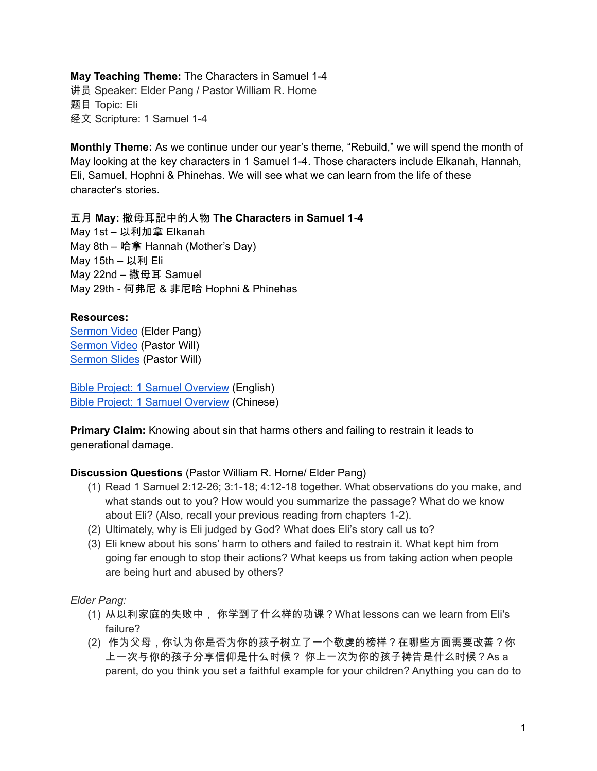**May Teaching Theme:** The Characters in Samuel 1-4 讲员 Speaker: Elder Pang / Pastor William R. Horne 题目 Topic: Eli 经文 Scripture: 1 Samuel 1-4

**Monthly Theme:** As we continue under our year's theme, "Rebuild," we will spend the month of May looking at the key characters in 1 Samuel 1-4. Those characters include Elkanah, Hannah, Eli, Samuel, Hophni & Phinehas. We will see what we can learn from the life of these character's stories.

五月 **May:** 撒母耳記中的人物 **The Characters in Samuel 1-4** May 1st – 以利加拿 Elkanah May 8th – 哈拿 Hannah (Mother's Day) May 15th – 以利 Eli May 22nd – 撒母耳 Samuel May 29th - 何弗尼 & 非尼哈 Hophni & Phinehas

## **Resources:**

[Sermon](https://youtu.be/6DhBJz11aaw?t=3373) Video (Elder Pang) [Sermon](https://www.youtube.com/watch?v=4QryI51GPUI&t=4s) Video (Pastor Will) [Sermon](https://docs.google.com/presentation/d/1m7gCufzi1O6YaOerUTY_WjmSbhPUQAziHnqD6Uo371Q/edit?usp=sharing) Slides (Pastor Will)

Bible Project: 1 Samuel [Overview](https://bibleproject.com/explore/video/1-samuel/) (English) Bible Project: 1 Samuel [Overview](https://www.youtube.com/watch?v=LO2pgCfIES4) (Chinese)

**Primary Claim:** Knowing about sin that harms others and failing to restrain it leads to generational damage.

## **Discussion Questions** (Pastor William R. Horne/ Elder Pang)

- (1) Read 1 Samuel 2:12-26; 3:1-18; 4:12-18 together. What observations do you make, and what stands out to you? How would you summarize the passage? What do we know about Eli? (Also, recall your previous reading from chapters 1-2).
- (2) Ultimately, why is Eli judged by God? What does Eli's story call us to?
- (3) Eli knew about his sons' harm to others and failed to restrain it. What kept him from going far enough to stop their actions? What keeps us from taking action when people are being hurt and abused by others?

*Elder Pang:*

- (1) 从以利家庭的失败中, 你学到了什么样的功课?What lessons can we learn from Eli's failure?
- (2) 作为父母,你认为你是否为你的孩子树立了一个敬虔的榜样?在哪些方面需要改善?你 上一次与你的孩子分享信仰是什么时候? 你上一次为你的孩子祷告是什么时候?As a parent, do you think you set a faithful example for your children? Anything you can do to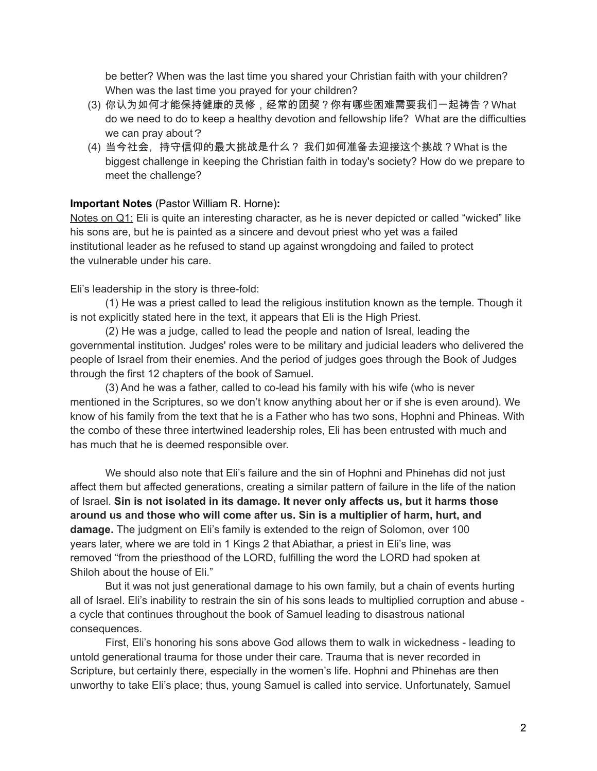be better? When was the last time you shared your Christian faith with your children? When was the last time you prayed for your children?

- (3) 你认为如何才能保持健康的灵修,经常的团契?你有哪些困难需要我们一起祷告?What do we need to do to keep a healthy devotion and fellowship life? What are the difficulties we can pray about?
- (4) 当今社会, 持守信仰的最大挑战是什么? 我们如何准备去迎接这个挑战?What is the biggest challenge in keeping the Christian faith in today's society? How do we prepare to meet the challenge?

## **Important Notes** (Pastor William R. Horne)**:**

Notes on Q1: Eli is quite an interesting character, as he is never depicted or called "wicked" like his sons are, but he is painted as a sincere and devout priest who yet was a failed institutional leader as he refused to stand up against wrongdoing and failed to protect the vulnerable under his care.

Eli's leadership in the story is three-fold:

(1) He was a priest called to lead the religious institution known as the temple. Though it is not explicitly stated here in the text, it appears that Eli is the High Priest.

(2) He was a judge, called to lead the people and nation of Isreal, leading the governmental institution. Judges' roles were to be military and judicial leaders who delivered the people of Israel from their enemies. And the period of judges goes through the Book of Judges through the first 12 chapters of the book of Samuel.

(3) And he was a father, called to co-lead his family with his wife (who is never mentioned in the Scriptures, so we don't know anything about her or if she is even around). We know of his family from the text that he is a Father who has two sons, Hophni and Phineas. With the combo of these three intertwined leadership roles, Eli has been entrusted with much and has much that he is deemed responsible over.

We should also note that Eli's failure and the sin of Hophni and Phinehas did not just affect them but affected generations, creating a similar pattern of failure in the life of the nation of Israel. **Sin is not isolated in its damage. It never only affects us, but it harms those around us and those who will come after us. Sin is a multiplier of harm, hurt, and damage.** The judgment on Eli's family is extended to the reign of Solomon, over 100 years later, where we are told in 1 Kings 2 that Abiathar, a priest in Eli's line, was removed "from the priesthood of the LORD, fulfilling the word the LORD had spoken at Shiloh about the house of Eli."

But it was not just generational damage to his own family, but a chain of events hurting all of Israel. Eli's inability to restrain the sin of his sons leads to multiplied corruption and abuse a cycle that continues throughout the book of Samuel leading to disastrous national consequences.

First, Eli's honoring his sons above God allows them to walk in wickedness - leading to untold generational trauma for those under their care. Trauma that is never recorded in Scripture, but certainly there, especially in the women's life. Hophni and Phinehas are then unworthy to take Eli's place; thus, young Samuel is called into service. Unfortunately, Samuel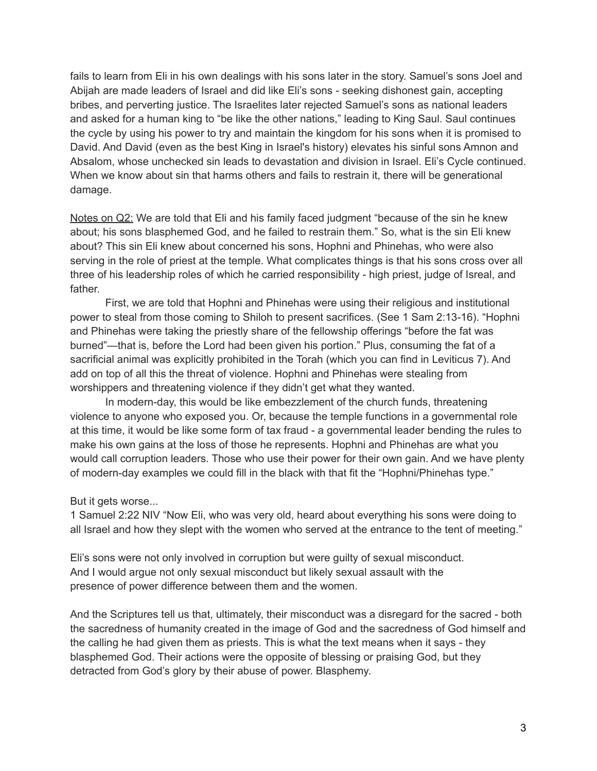fails to learn from Eli in his own dealings with his sons later in the story. Samuel's sons Joel and Abijah are made leaders of Israel and did like Eli's sons - seeking dishonest gain, accepting bribes, and perverting justice. The Israelites later rejected Samuel's sons as national leaders and asked for a human king to "be like the other nations," leading to King Saul. Saul continues the cycle by using his power to try and maintain the kingdom for his sons when it is promised to David. And David (even as the best King in Israel's history) elevates his sinful sons Amnon and Absalom, whose unchecked sin leads to devastation and division in Israel. Eli's Cycle continued. When we know about sin that harms others and fails to restrain it, there will be generational damage.

Notes on Q2: We are told that Eli and his family faced judgment "because of the sin he knew about; his sons blasphemed God, and he failed to restrain them." So, what is the sin Eli knew about? This sin Eli knew about concerned his sons, Hophni and Phinehas, who were also serving in the role of priest at the temple. What complicates things is that his sons cross over all three of his leadership roles of which he carried responsibility - high priest, judge of Isreal, and father.

First, we are told that Hophni and Phinehas were using their religious and institutional power to steal from those coming to Shiloh to present sacrifices. (See 1 Sam 2:13-16). "Hophni and Phinehas were taking the priestly share of the fellowship offerings "before the fat was burned"—that is, before the Lord had been given his portion." Plus, consuming the fat of a sacrificial animal was explicitly prohibited in the Torah (which you can find in Leviticus 7). And add on top of all this the threat of violence. Hophni and Phinehas were stealing from worshippers and threatening violence if they didn't get what they wanted.

In modern-day, this would be like embezzlement of the church funds, threatening violence to anyone who exposed you. Or, because the temple functions in a governmental role at this time, it would be like some form of tax fraud - a governmental leader bending the rules to make his own gains at the loss of those he represents. Hophni and Phinehas are what you would call corruption leaders. Those who use their power for their own gain. And we have plenty of modern-day examples we could fill in the black with that fit the "Hophni/Phinehas type."

But it gets worse...

1 Samuel 2:22 NIV "Now Eli, who was very old, heard about everything his sons were doing to all Israel and how they slept with the women who served at the entrance to the tent of meeting."

Eli's sons were not only involved in corruption but were guilty of sexual misconduct. And I would argue not only sexual misconduct but likely sexual assault with the presence of power difference between them and the women.

And the Scriptures tell us that, ultimately, their misconduct was a disregard for the sacred - both the sacredness of humanity created in the image of God and the sacredness of God himself and the calling he had given them as priests. This is what the text means when it says - they blasphemed God. Their actions were the opposite of blessing or praising God, but they detracted from God's glory by their abuse of power. Blasphemy.